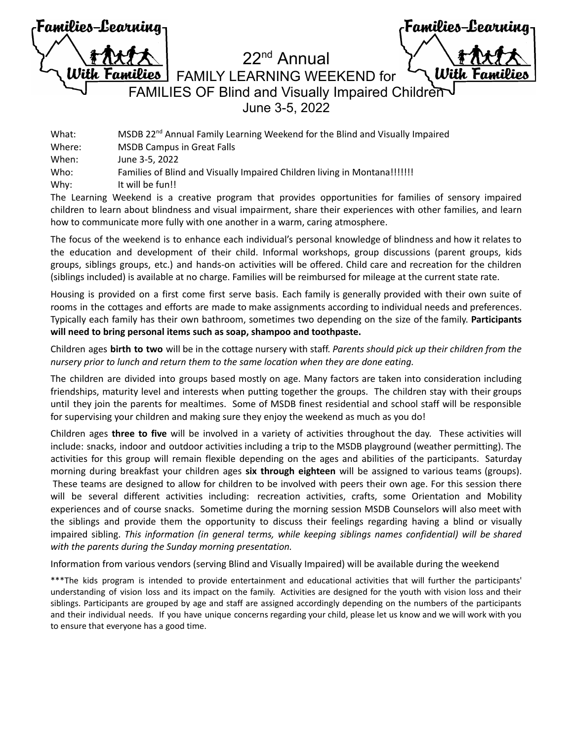| Families-Learning- |  |
|--------------------|--|
| <b>TAXIZ</b>       |  |
| With Families      |  |
|                    |  |

Families-Learning *Ulith* 

22nd Annual FAMILY LEARNING WEEKEND for FAMILIES OF Blind and Visually Impaired Children June 3-5, 2022

What: MSDB 22<sup>nd</sup> Annual Family Learning Weekend for the Blind and Visually Impaired Where: MSDB Campus in Great Falls When: June 3-5, 2022 Who: Families of Blind and Visually Impaired Children living in Montana!!!!!!! Why: It will be fun!!

The Learning Weekend is a creative program that provides opportunities for families of sensory impaired children to learn about blindness and visual impairment, share their experiences with other families, and learn how to communicate more fully with one another in a warm, caring atmosphere.

The focus of the weekend is to enhance each individual's personal knowledge of blindness and how it relates to the education and development of their child. Informal workshops, group discussions (parent groups, kids groups, siblings groups, etc.) and hands-on activities will be offered. Child care and recreation for the children (siblings included) is available at no charge. Families will be reimbursed for mileage at the current state rate.

Housing is provided on a first come first serve basis. Each family is generally provided with their own suite of rooms in the cottages and efforts are made to make assignments according to individual needs and preferences. Typically each family has their own bathroom, sometimes two depending on the size of the family. **Participants will need to bring personal items such as soap, shampoo and toothpaste.**

Children ages **birth to two** will be in the cottage nursery with staff. *Parents should pick up their children from the nursery prior to lunch and return them to the same location when they are done eating.*

The children are divided into groups based mostly on age. Many factors are taken into consideration including friendships, maturity level and interests when putting together the groups. The children stay with their groups until they join the parents for mealtimes. Some of MSDB finest residential and school staff will be responsible for supervising your children and making sure they enjoy the weekend as much as you do!

Children ages **three to five** will be involved in a variety of activities throughout the day. These activities will include: snacks, indoor and outdoor activities including a trip to the MSDB playground (weather permitting). The activities for this group will remain flexible depending on the ages and abilities of the participants. Saturday morning during breakfast your children ages **six through eighteen** will be assigned to various teams (groups). These teams are designed to allow for children to be involved with peers their own age. For this session there will be several different activities including: recreation activities, crafts, some Orientation and Mobility experiences and of course snacks. Sometime during the morning session MSDB Counselors will also meet with the siblings and provide them the opportunity to discuss their feelings regarding having a blind or visually impaired sibling. *This information (in general terms, while keeping siblings names confidential) will be shared with the parents during the Sunday morning presentation.*

Information from various vendors (serving Blind and Visually Impaired) will be available during the weekend

\*\*\*The kids program is intended to provide entertainment and educational activities that will further the participants' understanding of vision loss and its impact on the family. Activities are designed for the youth with vision loss and their siblings. Participants are grouped by age and staff are assigned accordingly depending on the numbers of the participants and their individual needs. If you have unique concerns regarding your child, please let us know and we will work with you to ensure that everyone has a good time.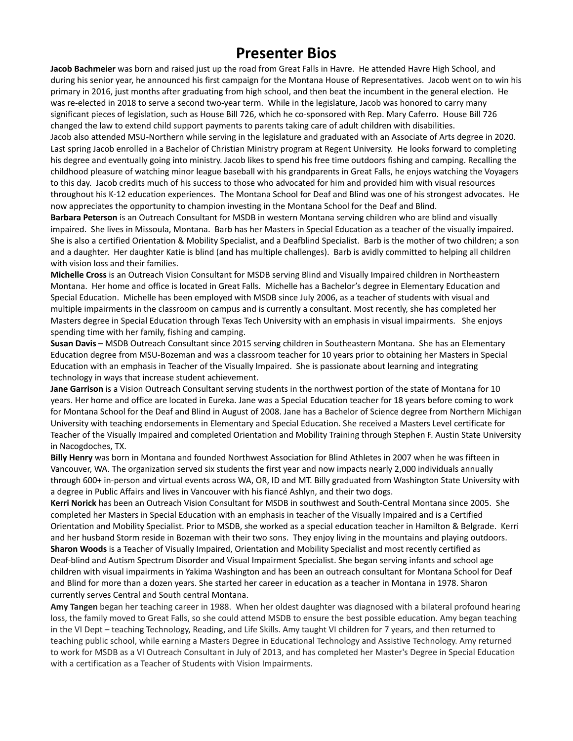# **Presenter Bios**

**Jacob Bachmeier** was born and raised just up the road from Great Falls in Havre. He attended Havre High School, and during his senior year, he announced his first campaign for the Montana House of Representatives. Jacob went on to win his primary in 2016, just months after graduating from high school, and then beat the incumbent in the general election. He was re-elected in 2018 to serve a second two-year term. While in the legislature, Jacob was honored to carry many significant pieces of legislation, such as House Bill 726, which he co-sponsored with Rep. Mary Caferro. House Bill 726 changed the law to extend child support payments to parents taking care of adult children with disabilities. Jacob also attended MSU-Northern while serving in the legislature and graduated with an Associate of Arts degree in 2020. Last spring Jacob enrolled in a Bachelor of Christian Ministry program at Regent University. He looks forward to completing his degree and eventually going into ministry. Jacob likes to spend his free time outdoors fishing and camping. Recalling the childhood pleasure of watching minor league baseball with his grandparents in Great Falls, he enjoys watching the Voyagers

to this day. Jacob credits much of his success to those who advocated for him and provided him with visual resources throughout his K-12 education experiences. The Montana School for Deaf and Blind was one of his strongest advocates. He now appreciates the opportunity to champion investing in the Montana School for the Deaf and Blind.

**Barbara Peterson** is an Outreach Consultant for MSDB in western Montana serving children who are blind and visually impaired. She lives in Missoula, Montana. Barb has her Masters in Special Education as a teacher of the visually impaired. She is also a certified Orientation & Mobility Specialist, and a Deafblind Specialist. Barb is the mother of two children; a son and a daughter. Her daughter Katie is blind (and has multiple challenges). Barb is avidly committed to helping all children with vision loss and their families.

**Michelle Cross** is an Outreach Vision Consultant for MSDB serving Blind and Visually Impaired children in Northeastern Montana. Her home and office is located in Great Falls. Michelle has a Bachelor's degree in Elementary Education and Special Education. Michelle has been employed with MSDB since July 2006, as a teacher of students with visual and multiple impairments in the classroom on campus and is currently a consultant. Most recently, she has completed her Masters degree in Special Education through Texas Tech University with an emphasis in visual impairments. She enjoys spending time with her family, fishing and camping.

**Susan Davis** – MSDB Outreach Consultant since 2015 serving children in Southeastern Montana. She has an Elementary Education degree from MSU-Bozeman and was a classroom teacher for 10 years prior to obtaining her Masters in Special Education with an emphasis in Teacher of the Visually Impaired. She is passionate about learning and integrating technology in ways that increase student achievement.

**Jane Garrison** is a Vision Outreach Consultant serving students in the northwest portion of the state of Montana for 10 years. Her home and office are located in Eureka. Jane was a Special Education teacher for 18 years before coming to work for Montana School for the Deaf and Blind in August of 2008. Jane has a Bachelor of Science degree from Northern Michigan University with teaching endorsements in Elementary and Special Education. She received a Masters Level certificate for Teacher of the Visually Impaired and completed Orientation and Mobility Training through Stephen F. Austin State University in Nacogdoches, TX.

**Billy Henry** was born in Montana and founded Northwest Association for Blind Athletes in 2007 when he was fifteen in Vancouver, WA. The organization served six students the first year and now impacts nearly 2,000 individuals annually through 600+ in-person and virtual events across WA, OR, ID and MT. Billy graduated from Washington State University with a degree in Public Affairs and lives in Vancouver with his fiancé Ashlyn, and their two dogs.

**Kerri Norick** has been an Outreach Vision Consultant for MSDB in southwest and South-Central Montana since 2005. She completed her Masters in Special Education with an emphasis in teacher of the Visually Impaired and is a Certified Orientation and Mobility Specialist. Prior to MSDB, she worked as a special education teacher in Hamilton & Belgrade. Kerri and her husband Storm reside in Bozeman with their two sons. They enjoy living in the mountains and playing outdoors. **Sharon Woods** is a Teacher of Visually Impaired, Orientation and Mobility Specialist and most recently certified as Deaf-blind and Autism Spectrum Disorder and Visual Impairment Specialist. She began serving infants and school age children with visual impairments in Yakima Washington and has been an outreach consultant for Montana School for Deaf and Blind for more than a dozen years. She started her career in education as a teacher in Montana in 1978. Sharon currently serves Central and South central Montana.

**Amy Tangen** began her teaching career in 1988. When her oldest daughter was diagnosed with a bilateral profound hearing loss, the family moved to Great Falls, so she could attend MSDB to ensure the best possible education. Amy began teaching in the VI Dept – teaching Technology, Reading, and Life Skills. Amy taught VI children for 7 years, and then returned to teaching public school, while earning a Masters Degree in Educational Technology and Assistive Technology. Amy returned to work for MSDB as a VI Outreach Consultant in July of 2013, and has completed her Master's Degree in Special Education with a certification as a Teacher of Students with Vision Impairments.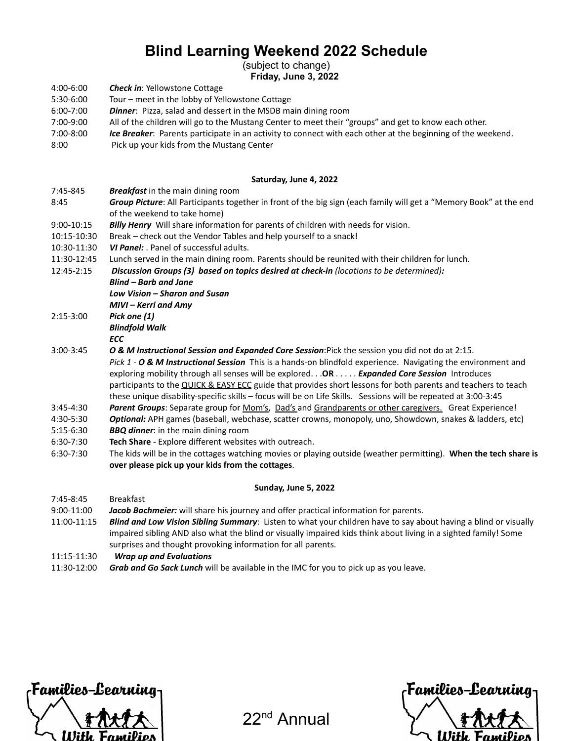# **Blind Learning Weekend 2022 Schedule**

(subject to change)

**Friday, June 3, 2022**

- 4:00-6:00 *Check in*: Yellowstone Cottage
- 5:30-6:00 Tour – meet in the lobby of Yellowstone Cottage
- 6:00-7:00 *Dinner*: Pizza, salad and dessert in the MSDB main dining room
- 7:00-9:00 All of the children will go to the Mustang Center to meet their "groups" and get to know each other.
- 7:00-8:00 *Ice Breaker*: Parents participate in an activity to connect with each other at the beginning of the weekend.
- 8:00 Pick up your kids from the Mustang Center

### **Saturday, June 4, 2022**

- 7:45-845 *Breakfast* in the main dining room
- 8:45 *Group Picture*: All Participants together in front of the big sign (each family will get a "Memory Book" at the end of the weekend to take home)
- 9:00-10:15 *Billy Henry* Will share information for parents of children with needs for vision.
- 10:15-10:30 Break – check out the Vendor Tables and help yourself to a snack!
- 10:30-11:30 *VI Panel:* . Panel of successful adults.
- 11:30-12:45 Lunch served in the main dining room. Parents should be reunited with their children for lunch.
- 12:45-2:15 *Discussion Groups (3) based on topics desired at check-in (locations to be determined):*
	- *Blind – Barb and Jane*
		- *Low Vision – Sharon and Susan MIVI – Kerri and Amy*
- 2:15-3:00
	- *Pick one (1) Blindfold Walk*
- *ECC*
- 3:00-3:45 *O & M Instructional Session and Expanded Core Session*:Pick the session you did not do at 2:15. *Pick 1 - O & M Instructional Session* This is a hands-on blindfold experience. Navigating the environment and exploring mobility through all senses will be explored. . .**OR** . . . . . *Expanded Core Session* Introduces participants to the QUICK & EASY ECC guide that provides short lessons for both parents and teachers to teach these unique disability-specific skills – focus will be on Life Skills. Sessions will be repeated at 3:00-3:45
- 3:45-4:30 *Parent Groups*: Separate group for Mom's, Dad's and Grandparents or other caregivers. Great Experience!
- 4:30-5:30 *Optional:* APH games (baseball, webchase, scatter crowns, monopoly, uno, Showdown, snakes & ladders, etc)
- 5:15-6:30 *BBQ dinner*: in the main dining room
- 6:30-7:30 **Tech Share** Explore different websites with outreach.
- 6:30-7:30 The kids will be in the cottages watching movies or playing outside (weather permitting). **When the tech share is over please pick up your kids from the cottages**.

#### **Sunday, June 5, 2022**

7:45-8:45 Breakfast 9:00-11:00 11:00-11:15 *Jacob Bachmeier:* will share his journey and offer practical information for parents. *Blind and Low Vision Sibling Summary*: Listen to what your children have to say about having a blind or visually impaired sibling AND also what the blind or visually impaired kids think about living in a sighted family! Some surprises and thought provoking information for all parents.

- 11:15-11:30 *Wrap up and Evaluations*
- 11:30-12:00 *Grab and Go Sack Lunch* will be available in the IMC for you to pick up as you leave.



22nd Annual